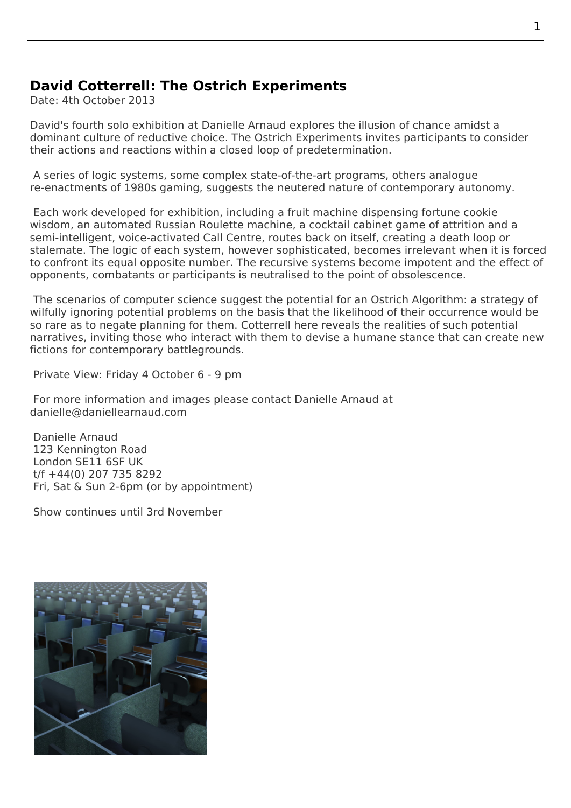## **David Cotterrell: The Ostrich Experiments**

Date: 4th October 2013

David's fourth solo exhibition at Danielle Arnaud explores the illusion of chance amidst a dominant culture of reductive choice. The Ostrich Experiments invites participants to consider their actions and reactions within a closed loop of predetermination.

 A series of logic systems, some [complex state-o](http://www.daniellearnaud.com/exhibitions/exhibition-david-cotterrell-ostrich.html)f-the-art programs, others analogue re-enactments of 1980s gaming, suggests the neutered nature of contemporary autonomy.

 Each work developed for exhibition, including a fruit machine dispensing fortune cookie wisdom, an automated Russian Roulette machine, a cocktail cabinet game of attrition and a semi-intelligent, voice-activated Call Centre, routes back on itself, creating a death loop or stalemate. The logic of each system, however sophisticated, becomes irrelevant when it is forced to confront its equal opposite number. The recursive systems become impotent and the effect of opponents, combatants or participants is neutralised to the point of obsolescence.

 The scenarios of computer science suggest the potential for an Ostrich Algorithm: a strategy of wilfully ignoring potential problems on the basis that the likelihood of their occurrence would be so rare as to negate planning for them. Cotterrell here reveals the realities of such potential narratives, inviting those who interact with them to devise a humane stance that can create new fictions for contemporary battlegrounds.

Private View: Friday 4 October 6 - 9 pm

 For more information and images please contact Danielle Arnaud at danielle@daniellearnaud.com

 Danielle Arnaud 123 Kennington Road  [London SE11 6SF UK](mailto:danielle@daniellearnaud.com?subject=David%20Cotterrell%20%3A%20The%20Ostrich%20Experiments) t/f +44(0) 207 735 8292 Fri, Sat & Sun 2-6pm (or by appointment)

Show c[ontinues u](https://maps.google.co.uk/maps?safe=off&q=SE11+6SF&ie=UTF-8&hq=&hnear=0x487604bdf6ed09bf:0xf58d173b2dcf29a1,London+SE11+6SF&gl=uk&ei=IjxAUpe3M-W00QWRm4GICw&ved=0CIgBELYDMAo)ntil 3rd November